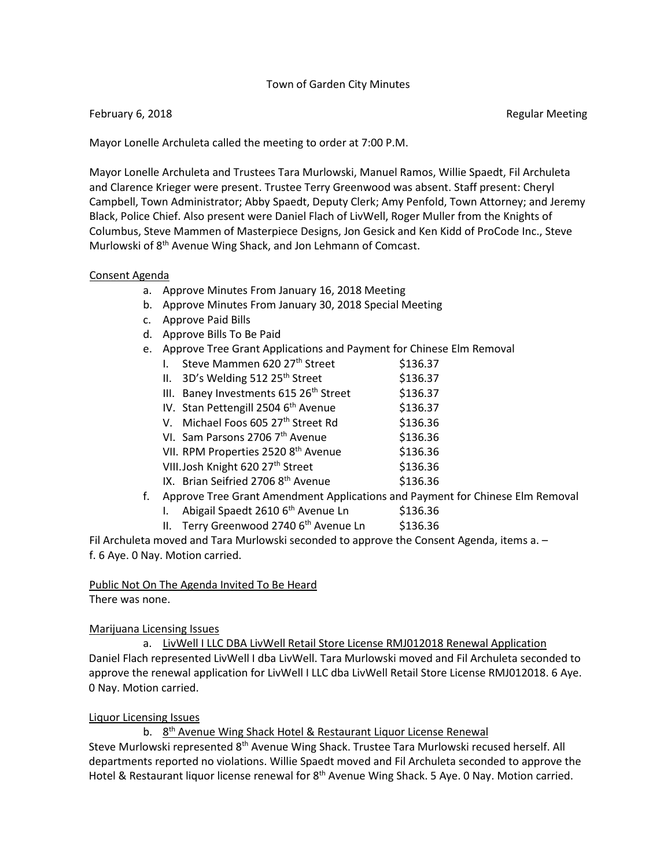### Town of Garden City Minutes

#### February 6, 2018 **Regular Meeting** Construction of the Regular Meeting Regular Meeting

Mayor Lonelle Archuleta called the meeting to order at 7:00 P.M.

Mayor Lonelle Archuleta and Trustees Tara Murlowski, Manuel Ramos, Willie Spaedt, Fil Archuleta and Clarence Krieger were present. Trustee Terry Greenwood was absent. Staff present: Cheryl Campbell, Town Administrator; Abby Spaedt, Deputy Clerk; Amy Penfold, Town Attorney; and Jeremy Black, Police Chief. Also present were Daniel Flach of LivWell, Roger Muller from the Knights of Columbus, Steve Mammen of Masterpiece Designs, Jon Gesick and Ken Kidd of ProCode Inc., Steve Murlowski of 8<sup>th</sup> Avenue Wing Shack, and Jon Lehmann of Comcast.

#### Consent Agenda

- a. Approve Minutes From January 16, 2018 Meeting
- b. Approve Minutes From January 30, 2018 Special Meeting
- c. Approve Paid Bills
- d. Approve Bills To Be Paid
- e. Approve Tree Grant Applications and Payment for Chinese Elm Removal
	- I. Steve Mammen  $620\,27^{\text{th}}$  Street  $$136.37$
	- II.  $3D's$  Welding 512 25<sup>th</sup> Street  $5136.37$
	- III. Baney Investments  $615 26<sup>th</sup>$  Street  $$136.37$
	- IV. Stan Pettengill  $25046^{th}$  Avenue \$136.37
	- V. Michael Foos 605 27<sup>th</sup> Street Rd  $$136.36$
	- VI. Sam Parsons  $27067^{\text{th}}$  Avenue \$136.36
	- VII. RPM Properties 2520 8<sup>th</sup> Avenue \$136.36
	- VIII.Josh Knight 620 27<sup>th</sup> Street \$136.36
	- IX. Brian Seifried 2706  $8<sup>th</sup>$  Avenue  $$136.36$
- f. Approve Tree Grant Amendment Applications and Payment for Chinese Elm Removal
	- I. Abigail Spaedt  $26106<sup>th</sup>$  Avenue Ln  $$136.36$
	- II. Terry Greenwood 2740  $6<sup>th</sup>$  Avenue Ln \$136.36

Fil Archuleta moved and Tara Murlowski seconded to approve the Consent Agenda, items a. – f. 6 Aye. 0 Nay. Motion carried.

### Public Not On The Agenda Invited To Be Heard

There was none.

### Marijuana Licensing Issues

a. LivWell I LLC DBA LivWell Retail Store License RMJ012018 Renewal Application Daniel Flach represented LivWell I dba LivWell. Tara Murlowski moved and Fil Archuleta seconded to approve the renewal application for LivWell I LLC dba LivWell Retail Store License RMJ012018. 6 Aye. 0 Nay. Motion carried.

### Liquor Licensing Issues

b. 8<sup>th</sup> Avenue Wing Shack Hotel & Restaurant Liquor License Renewal

Steve Murlowski represented 8<sup>th</sup> Avenue Wing Shack. Trustee Tara Murlowski recused herself. All departments reported no violations. Willie Spaedt moved and Fil Archuleta seconded to approve the Hotel & Restaurant liquor license renewal for 8<sup>th</sup> Avenue Wing Shack. 5 Aye. 0 Nay. Motion carried.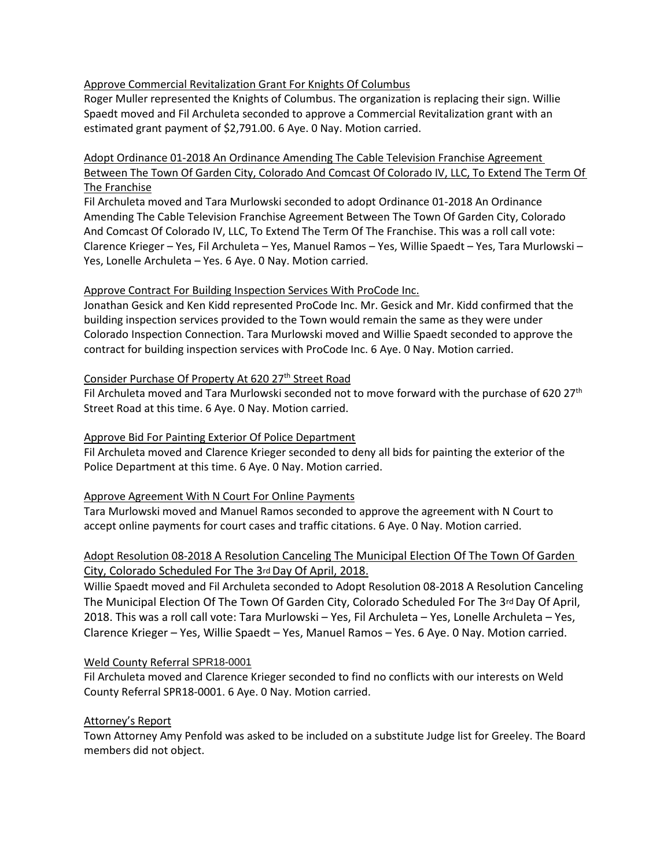### Approve Commercial Revitalization Grant For Knights Of Columbus

Roger Muller represented the Knights of Columbus. The organization is replacing their sign. Willie Spaedt moved and Fil Archuleta seconded to approve a Commercial Revitalization grant with an estimated grant payment of \$2,791.00. 6 Aye. 0 Nay. Motion carried.

# Adopt Ordinance 01-2018 An Ordinance Amending The Cable Television Franchise Agreement Between The Town Of Garden City, Colorado And Comcast Of Colorado IV, LLC, To Extend The Term Of The Franchise

Fil Archuleta moved and Tara Murlowski seconded to adopt Ordinance 01-2018 An Ordinance Amending The Cable Television Franchise Agreement Between The Town Of Garden City, Colorado And Comcast Of Colorado IV, LLC, To Extend The Term Of The Franchise. This was a roll call vote: Clarence Krieger – Yes, Fil Archuleta – Yes, Manuel Ramos – Yes, Willie Spaedt – Yes, Tara Murlowski – Yes, Lonelle Archuleta – Yes. 6 Aye. 0 Nay. Motion carried.

# Approve Contract For Building Inspection Services With ProCode Inc.

Jonathan Gesick and Ken Kidd represented ProCode Inc. Mr. Gesick and Mr. Kidd confirmed that the building inspection services provided to the Town would remain the same as they were under Colorado Inspection Connection. Tara Murlowski moved and Willie Spaedt seconded to approve the contract for building inspection services with ProCode Inc. 6 Aye. 0 Nay. Motion carried.

# Consider Purchase Of Property At 620 27<sup>th</sup> Street Road

Fil Archuleta moved and Tara Murlowski seconded not to move forward with the purchase of 620 27<sup>th</sup> Street Road at this time. 6 Aye. 0 Nay. Motion carried.

# Approve Bid For Painting Exterior Of Police Department

Fil Archuleta moved and Clarence Krieger seconded to deny all bids for painting the exterior of the Police Department at this time. 6 Aye. 0 Nay. Motion carried.

### Approve Agreement With N Court For Online Payments

Tara Murlowski moved and Manuel Ramos seconded to approve the agreement with N Court to accept online payments for court cases and traffic citations. 6 Aye. 0 Nay. Motion carried.

# Adopt Resolution 08-2018 A Resolution Canceling The Municipal Election Of The Town Of Garden City, Colorado Scheduled For The 3rd Day Of April, 2018.

Willie Spaedt moved and Fil Archuleta seconded to Adopt Resolution 08-2018 A Resolution Canceling The Municipal Election Of The Town Of Garden City, Colorado Scheduled For The 3rd Day Of April, 2018. This was a roll call vote: Tara Murlowski – Yes, Fil Archuleta – Yes, Lonelle Archuleta – Yes, Clarence Krieger – Yes, Willie Spaedt – Yes, Manuel Ramos – Yes. 6 Aye. 0 Nay. Motion carried.

### Weld County Referral SPR18-0001

Fil Archuleta moved and Clarence Krieger seconded to find no conflicts with our interests on Weld County Referral SPR18-0001. 6 Aye. 0 Nay. Motion carried.

### Attorney's Report

Town Attorney Amy Penfold was asked to be included on a substitute Judge list for Greeley. The Board members did not object.